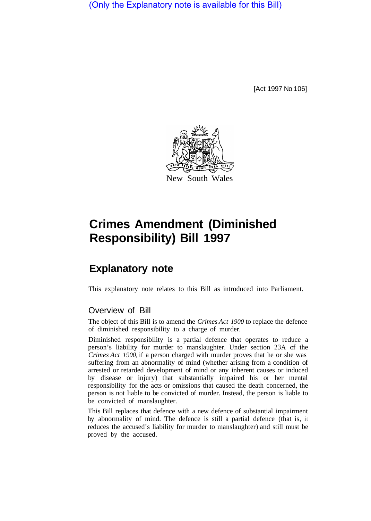(Only the Explanatory note is available for this Bill)

[Act 1997 No 106]



## **Crimes Amendment (Diminished Responsibility) Bill 1997**

## **Explanatory note**

This explanatory note relates to this Bill as introduced into Parliament.

## Overview of Bill

The object of this Bill is to amend the *Crimes Act 1900* to replace the defence of diminished responsibility to a charge of murder.

Diminished responsibility is a partial defence that operates to reduce a person's liability for murder to manslaughter. Under section 23A of the *Crimes Act 1900,* if a person charged with murder proves that he or she was suffering from an abnormality of mind (whether arising from a condition of arrested or retarded development of mind or any inherent causes or induced by disease or injury) that substantially impaired his or her mental responsibility for the acts or omissions that caused the death concerned, the person is not liable to be convicted of murder. Instead, the person is liable to be convicted of manslaughter.

This Bill replaces that defence with a new defence of substantial impairment by abnormality of mind. The defence is still a partial defence (that is, it reduces the accused's liability for murder to manslaughter) and still must be proved by the accused.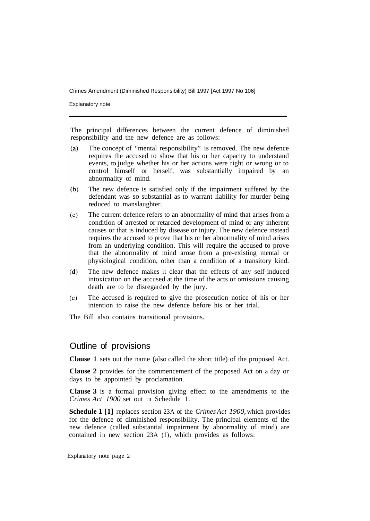Crimes Amendment (Diminished Responsibility) Bill 1997 [Act 1997 No 106]

Explanatory note

The principal differences between the current defence of diminished responsibility and the new defence are as follows:

- The concept of "mental responsibility" is removed. The new defence  $(a)$ requires the accused to show that his or her capacity to understand events, to judge whether his or her actions were right or wrong or to control himself or herself, was substantially impaired by an abnormality of mind.
- $(b)$ The new defence is satisfied only if the impairment suffered by the defendant was so substantial as to warrant liability for murder being reduced to manslaughter.
- The current defence refers to an abnormality of mind that arises from a  $(c)$ condition of arrested or retarded development of mind or any inherent causes or that is induced by disease or injury. The new defence instead requires the accused to prove that his or her abnormality of mind arises from an underlying condition. This will require the accused to prove that the abnormality of mind arose from a pre-existing mental or physiological condition, other than a condition of a transitory kind.
- $(d)$ The new defence makes it clear that the effects of any self-induced intoxication on the accused at the time of the acts or omissions causing death are to be disregarded by the jury.
- The accused is required to give the prosecution notice of his or her  $(e)$ intention to raise the new defence before his or her trial.

The Bill also contains transitional provisions.

## Outline of provisions

**Clause 1** sets out the name (also called the short title) of the proposed Act.

**Clause 2** provides for the commencement of the proposed Act on a day or days to be appointed by proclamation.

**Clause 3** is a formal provision giving effect to the amendments to the *Crimes Act 1900* set out in Schedule 1.

**Schedule 1 [1]** replaces section 23A of the *Crimes Act 1900*, which provides for the defence of diminished responsibility. The principal elements of the new defence (called substantial impairment by abnormality of mind) are contained in new section 23A (l), which provides as follows: